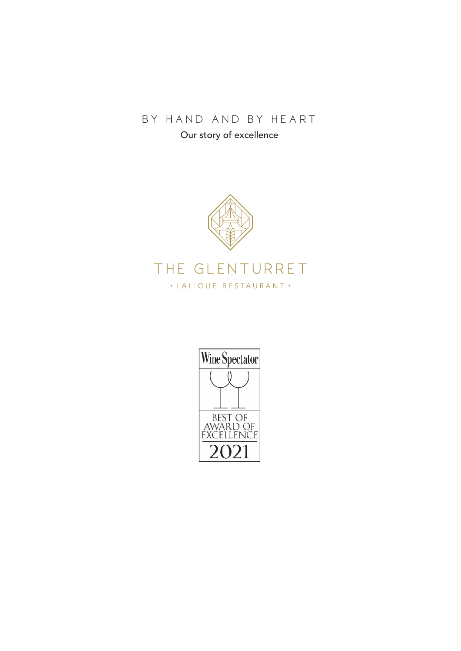# BY HAND AND BY HEART

Our story of excellence



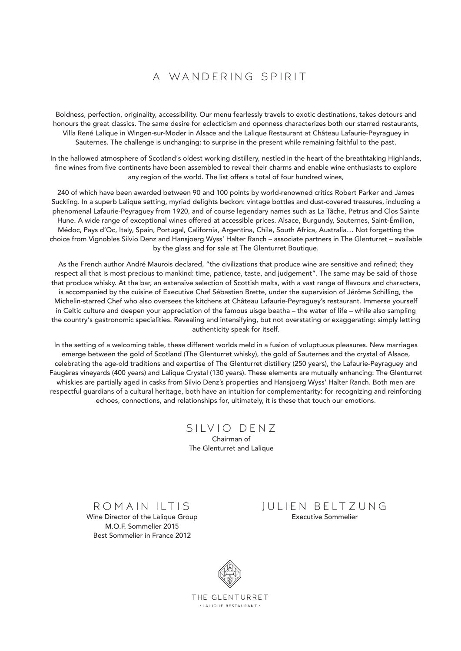# A WANDFRING SPIRIT

Boldness, perfection, originality, accessibility. Our menu fearlessly travels to exotic destinations, takes detours and honours the great classics. The same desire for eclecticism and openness characterizes both our starred restaurants, Villa René Lalique in Wingen-sur-Moder in Alsace and the Lalique Restaurant at Château Lafaurie-Peyraguey in Sauternes. The challenge is unchanging: to surprise in the present while remaining faithful to the past.

In the hallowed atmosphere of Scotland's oldest working distillery, nestled in the heart of the breathtaking Highlands, fine wines from five continents have been assembled to reveal their charms and enable wine enthusiasts to explore any region of the world. The list offers a total of four hundred wines,

240 of which have been awarded between 90 and 100 points by world-renowned critics Robert Parker and James Suckling. In a superb Lalique setting, myriad delights beckon: vintage bottles and dust-covered treasures, including a phenomenal Lafaurie-Peyraguey from 1920, and of course legendary names such as La Tâche, Petrus and Clos Sainte Hune. A wide range of exceptional wines offered at accessible prices. Alsace, Burgundy, Sauternes, Saint-Émilion, Médoc, Pays d'Oc, Italy, Spain, Portugal, California, Argentina, Chile, South Africa, Australia… Not forgetting the choice from Vignobles Silvio Denz and Hansjoerg Wyss' Halter Ranch – associate partners in The Glenturret – available by the glass and for sale at The Glenturret Boutique.

As the French author André Maurois declared, "the civilizations that produce wine are sensitive and refined; they respect all that is most precious to mankind: time, patience, taste, and judgement". The same may be said of those that produce whisky. At the bar, an extensive selection of Scottish malts, with a vast range of flavours and characters, is accompanied by the cuisine of Executive Chef Sébastien Brette, under the supervision of Jérôme Schilling, the Michelin-starred Chef who also oversees the kitchens at Château Lafaurie-Peyraguey's restaurant. Immerse yourself in Celtic culture and deepen your appreciation of the famous uisge beatha – the water of life – while also sampling the country's gastronomic specialities. Revealing and intensifying, but not overstating or exaggerating: simply letting authenticity speak for itself.

In the setting of a welcoming table, these different worlds meld in a fusion of voluptuous pleasures. New marriages emerge between the gold of Scotland (The Glenturret whisky), the gold of Sauternes and the crystal of Alsace, celebrating the age-old traditions and expertise of The Glenturret distillery (250 years), the Lafaurie-Peyraguey and Faugères vineyards (400 years) and Lalique Crystal (130 years). These elements are mutually enhancing: The Glenturret whiskies are partially aged in casks from Silvio Denz's properties and Hansjoerg Wyss' Halter Ranch. Both men are respectful guardians of a cultural heritage, both have an intuition for complementarity: for recognizing and reinforcing echoes, connections, and relationships for, ultimately, it is these that touch our emotions.

> SILVIO DENZ Chairman of The Glenturret and Lalique

ROMAIN ILTIS Wine Director of the Lalique Group M.O.F. Sommelier 2015 Best Sommelier in France 2012

#### JULIEN BELTZUNG Executive Sommelier



THE GLENTURRET · LALIQUE RESTAURANT ·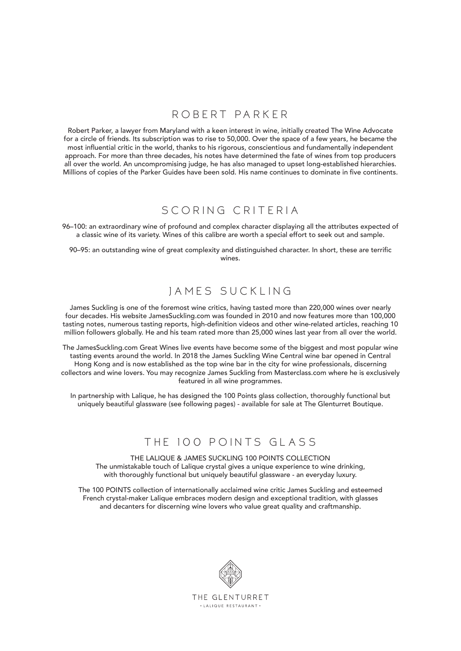#### ROBERT PARKER

Robert Parker, a lawyer from Maryland with a keen interest in wine, initially created The Wine Advocate for a circle of friends. Its subscription was to rise to 50,000. Over the space of a few years, he became the most influential critic in the world, thanks to his rigorous, conscientious and fundamentally independent approach. For more than three decades, his notes have determined the fate of wines from top producers all over the world. An uncompromising judge, he has also managed to upset long-established hierarchies. Millions of copies of the Parker Guides have been sold. His name continues to dominate in five continents.

## SCORING CRITERIA

96–100: an extraordinary wine of profound and complex character displaying all the attributes expected of a classic wine of its variety. Wines of this calibre are worth a special effort to seek out and sample.

90–95: an outstanding wine of great complexity and distinguished character. In short, these are terrific wines.

## JAMES SUCKLING

James Suckling is one of the foremost wine critics, having tasted more than 220,000 wines over nearly four decades. His website JamesSuckling.com was founded in 2010 and now features more than 100,000 tasting notes, numerous tasting reports, high-definition videos and other wine-related articles, reaching 10 million followers globally. He and his team rated more than 25,000 wines last year from all over the world.

The JamesSuckling.com Great Wines live events have become some of the biggest and most popular wine tasting events around the world. In 2018 the James Suckling Wine Central wine bar opened in Central Hong Kong and is now established as the top wine bar in the city for wine professionals, discerning collectors and wine lovers. You may recognize James Suckling from Masterclass.com where he is exclusively featured in all wine programmes.

In partnership with Lalique, he has designed the 100 Points glass collection, thoroughly functional but uniquely beautiful glassware (see following pages) - available for sale at The Glenturret Boutique.

## THE 100 POINTS GLASS

THE LALIQUE & JAMES SUCKLING 100 POINTS COLLECTION The unmistakable touch of Lalique crystal gives a unique experience to wine drinking, with thoroughly functional but uniquely beautiful glassware - an everyday luxury.

The 100 POINTS collection of internationally acclaimed wine critic James Suckling and esteemed French crystal-maker Lalique embraces modern design and exceptional tradition, with glasses and decanters for discerning wine lovers who value great quality and craftmanship.

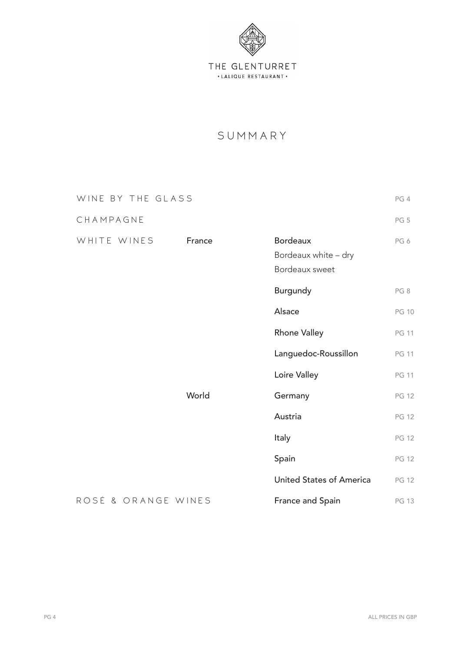

# SUMMARY

| WINE BY THE GLASS   |        |                                                           | PG 4            |
|---------------------|--------|-----------------------------------------------------------|-----------------|
| CHAMPAGNE           |        |                                                           | PG <sub>5</sub> |
| WHITE WINES         | France | <b>Bordeaux</b><br>Bordeaux white - dry<br>Bordeaux sweet | PG6             |
|                     |        | Burgundy                                                  | PG8             |
|                     |        | Alsace                                                    | <b>PG 10</b>    |
|                     |        | <b>Rhone Valley</b>                                       | <b>PG 11</b>    |
|                     |        | Languedoc-Roussillon                                      | <b>PG 11</b>    |
|                     |        | Loire Valley                                              | <b>PG 11</b>    |
|                     | World  | Germany                                                   | <b>PG 12</b>    |
|                     |        | Austria                                                   | <b>PG 12</b>    |
|                     |        | Italy                                                     | <b>PG 12</b>    |
|                     |        | Spain                                                     | <b>PG 12</b>    |
|                     |        | <b>United States of America</b>                           | <b>PG 12</b>    |
| ROSÉ & ORANGE WINES |        | France and Spain                                          | <b>PG 13</b>    |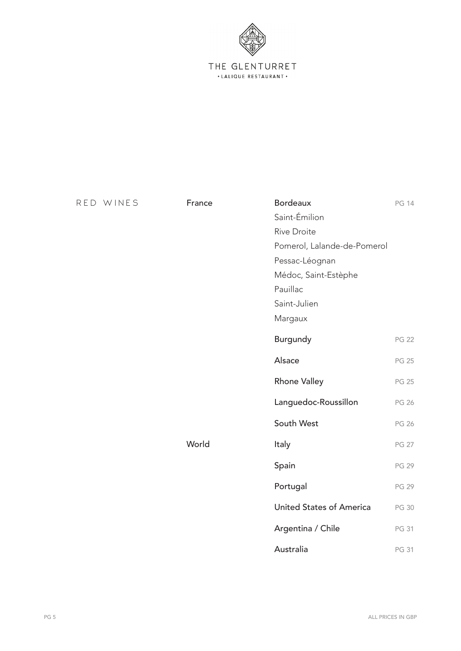

| RED WINES | France | <b>Bordeaux</b>                 | PG 14        |
|-----------|--------|---------------------------------|--------------|
|           |        | Saint-Émilion                   |              |
|           |        | <b>Rive Droite</b>              |              |
|           |        | Pomerol, Lalande-de-Pomerol     |              |
|           |        | Pessac-Léognan                  |              |
|           |        | Médoc, Saint-Estèphe            |              |
|           |        | Pauillac                        |              |
|           |        | Saint-Julien                    |              |
|           |        | Margaux                         |              |
|           |        | Burgundy                        | <b>PG 22</b> |
|           |        | Alsace                          | <b>PG 25</b> |
|           |        | <b>Rhone Valley</b>             | <b>PG 25</b> |
|           |        | Languedoc-Roussillon            | <b>PG 26</b> |
|           |        | South West                      | <b>PG 26</b> |
|           | World  | Italy                           | <b>PG 27</b> |
|           |        | Spain                           | <b>PG 29</b> |
|           |        | Portugal                        | <b>PG 29</b> |
|           |        | <b>United States of America</b> | <b>PG 30</b> |
|           |        | Argentina / Chile               | PG 31        |
|           |        | Australia                       | PG 31        |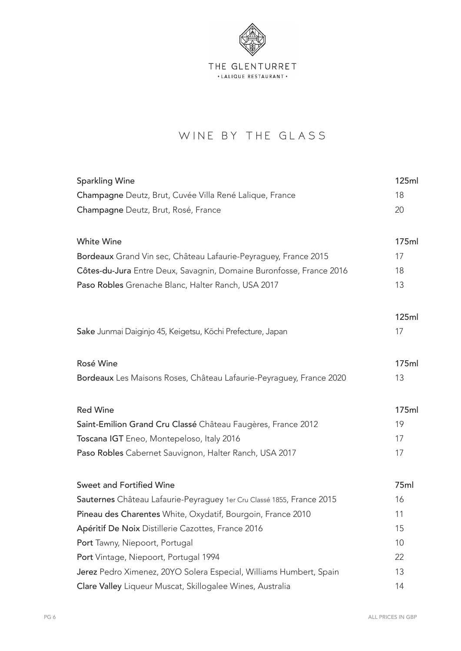

# WINE BY THE GLASS

| <b>Sparkling Wine</b>                                                 | 125ml        |
|-----------------------------------------------------------------------|--------------|
| Champagne Deutz, Brut, Cuvée Villa René Lalique, France               | 18           |
| Champagne Deutz, Brut, Rosé, France                                   | 20           |
|                                                                       |              |
| <b>White Wine</b>                                                     | 175ml        |
| Bordeaux Grand Vin sec, Château Lafaurie-Peyraguey, France 2015       | 17           |
| Côtes-du-Jura Entre Deux, Savagnin, Domaine Buronfosse, France 2016   | 18           |
| Paso Robles Grenache Blanc, Halter Ranch, USA 2017                    | 13           |
|                                                                       |              |
|                                                                       | <b>125ml</b> |
| Sake Junmai Daiginjo 45, Keigetsu, Kōchi Prefecture, Japan            | 17           |
|                                                                       |              |
| Rosé Wine                                                             | 175ml        |
| Bordeaux Les Maisons Roses, Château Lafaurie-Peyraguey, France 2020   | 13           |
|                                                                       |              |
| <b>Red Wine</b>                                                       | 175ml        |
| Saint-Emilion Grand Cru Classé Château Faugères, France 2012          | 19           |
| Toscana IGT Eneo, Montepeloso, Italy 2016                             | 17           |
| Paso Robles Cabernet Sauvignon, Halter Ranch, USA 2017                | 17           |
|                                                                       |              |
| Sweet and Fortified Wine                                              | 75ml         |
| Sauternes Château Lafaurie-Peyraguey 1er Cru Classé 1855, France 2015 | 16           |
| Pineau des Charentes White, Oxydatif, Bourgoin, France 2010           | 11           |
| Apéritif De Noix Distillerie Cazottes, France 2016                    | 15           |
| Port Tawny, Niepoort, Portugal                                        | 10           |
| Port Vintage, Niepoort, Portugal 1994                                 | 22           |
| Jerez Pedro Ximenez, 20YO Solera Especial, Williams Humbert, Spain    | 13           |
| Clare Valley Liqueur Muscat, Skillogalee Wines, Australia             | 14           |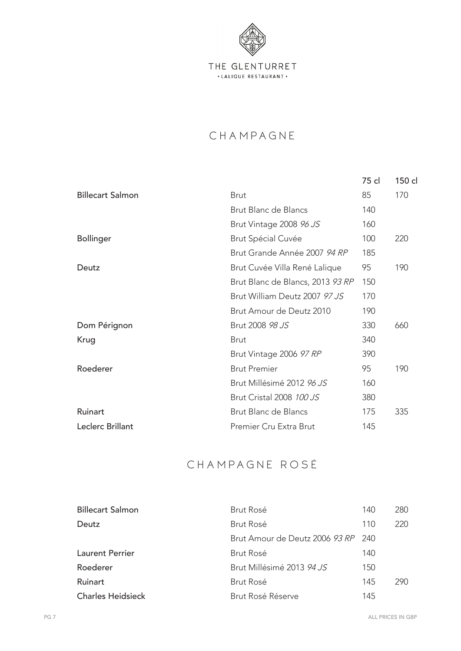

# **CHAMPAGNE**

|                         |                                  | 75 cl | 150 cl |
|-------------------------|----------------------------------|-------|--------|
| <b>Billecart Salmon</b> | <b>Brut</b>                      | 85    | 170    |
|                         | Brut Blanc de Blancs             | 140   |        |
|                         | Brut Vintage 2008 96 JS          | 160   |        |
| <b>Bollinger</b>        | Brut Spécial Cuvée               | 100   | 220    |
|                         | Brut Grande Année 2007 94 RP     | 185   |        |
| Deutz                   | Brut Cuvée Villa René Lalique    | 95    | 190    |
|                         | Brut Blanc de Blancs, 2013 93 RP | 150   |        |
|                         | Brut William Deutz 2007 97 JS    | 170   |        |
|                         | Brut Amour de Deutz 2010         | 190   |        |
| Dom Pérignon            | Brut 2008 98 JS                  | 330   | 660    |
| Krug                    | <b>Brut</b>                      | 340   |        |
|                         | Brut Vintage 2006 97 RP          | 390   |        |
| Roederer                | <b>Brut Premier</b>              | 95    | 190    |
|                         | Brut Millésimé 2012 96 JS        | 160   |        |
|                         | Brut Cristal 2008 100 JS         | 380   |        |
| Ruinart                 | Brut Blanc de Blancs             | 175   | 335    |
| Leclerc Brillant        | Premier Cru Extra Brut           | 145   |        |

# CHAMPAGNE ROSÉ

| <b>Billecart Salmon</b>  | <b>Brut Rosé</b>                   | 140 | 280  |
|--------------------------|------------------------------------|-----|------|
| Deutz                    | Brut Rosé                          | 110 | 220  |
|                          | Brut Amour de Deutz 2006 93 RP 240 |     |      |
| <b>Laurent Perrier</b>   | Brut Rosé                          | 140 |      |
| Roederer                 | Brut Millésimé 2013 94 JS          | 150 |      |
| Ruinart                  | Brut Rosé                          | 145 | 290. |
| <b>Charles Heidsieck</b> | Brut Rosé Réserve                  | 145 |      |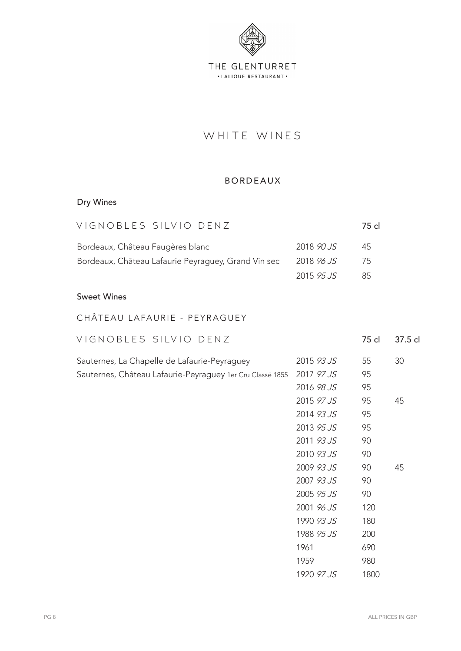

# WHITE WINES

#### BORDEAUX

# Dry Wines

| VIGNOBLES SILVIO DENZ                               |            | 75 cl |         |
|-----------------------------------------------------|------------|-------|---------|
| Bordeaux, Château Faugères blanc                    | 2018 90 JS | 45    |         |
| Bordeaux, Château Lafaurie Peyraguey, Grand Vin sec | 2018 96 JS | 75    |         |
|                                                     | 2015 95 JS | 85    |         |
| <b>Sweet Wines</b>                                  |            |       |         |
| CHÂTEAU LAFAURIE - PEYRAGUEY                        |            |       |         |
| VIGNOBLES SILVIO DENZ                               |            | 75 cl | 37.5 cl |
| Sauternes. La Chapelle de Lafaurie-Peyraguey        | 2015 93.JS | 55    | 30      |

| Gauterries, La Criapelle de Laiaurie-Feyraguey                       | 2019 79 99 1      | ັບປ | JU. |
|----------------------------------------------------------------------|-------------------|-----|-----|
| Sauternes, Château Lafaurie-Peyraguey 1er Cru Classé 1855 2017 97 JS |                   |     |     |
|                                                                      | 2016 <i>98 JS</i> | 95  |     |
|                                                                      | 2015 <i>97 JS</i> | 95  | 45  |
|                                                                      | 0.011011          |     |     |

| 2014 93 JS | 95   |    |
|------------|------|----|
| 2013 95.15 | 95   |    |
| 2011 93.15 | 90   |    |
| 2010 93 JS | 90   |    |
| 2009 93 JS | 90   | 45 |
| 2007 93 JS | 90   |    |
| 2005 95 JS | 90   |    |
| 2001 96.15 | 120  |    |
| 1990 93 JS | 180  |    |
| 1988 95 JS | 200  |    |
| 1961       | 690  |    |
| 1959       | 980  |    |
| 1920 97 JS | 1800 |    |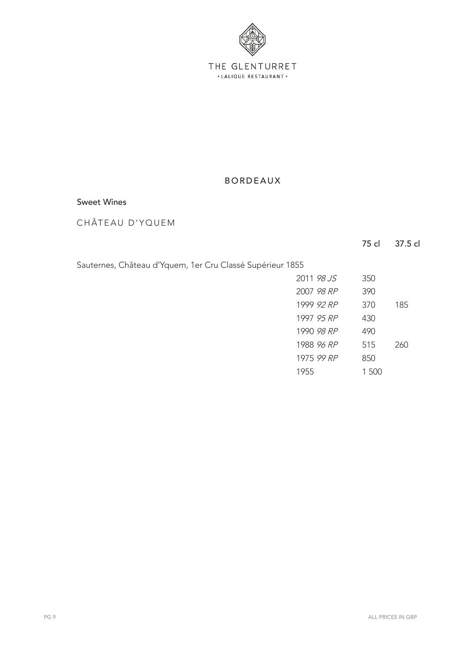

#### Sweet Wines

CHÂTEAU D'YQUEM

| Sauternes, Château d'Yquem, 1er Cru Classé Supérieur 1855 |  |  |  |  |  |
|-----------------------------------------------------------|--|--|--|--|--|
|                                                           |  |  |  |  |  |

| 2011 98.15 | 350   |     |
|------------|-------|-----|
| 2007 98 RP | 390   |     |
| 1999 92 RP | 370   | 185 |
| 1997 95 RP | 430   |     |
| 1990 98 RP | 490   |     |
| 1988 96 RP | 515   | 260 |
| 1975 99 RP | 850   |     |
| 1955       | 1.500 |     |
|            |       |     |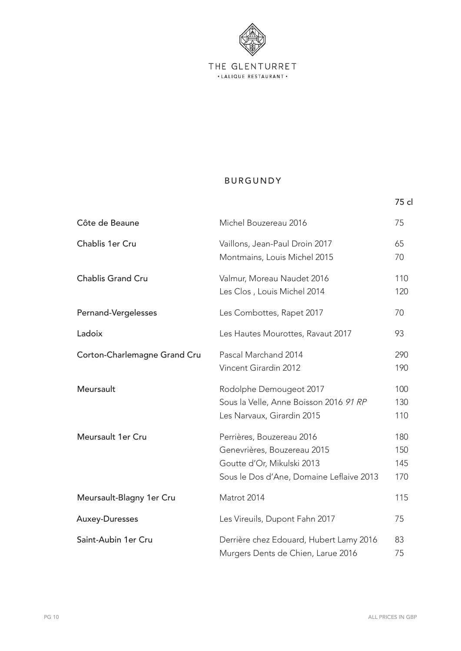

75 cl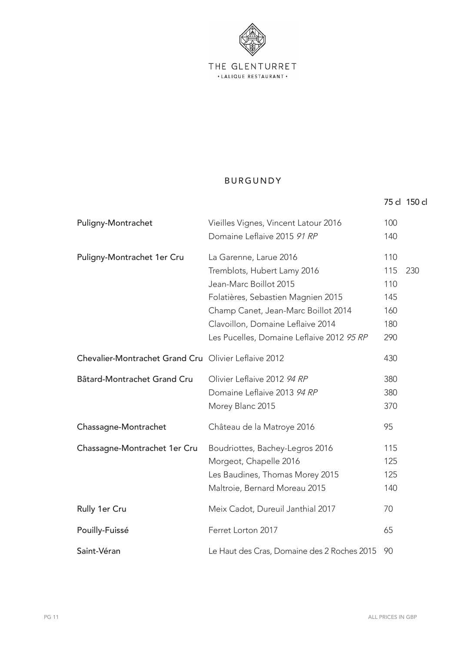

|                                                      |                                                                                                                                                                                                                                                |                                               | 75 cl 150 cl |
|------------------------------------------------------|------------------------------------------------------------------------------------------------------------------------------------------------------------------------------------------------------------------------------------------------|-----------------------------------------------|--------------|
| Puligny-Montrachet                                   | Vieilles Vignes, Vincent Latour 2016<br>Domaine Leflaive 2015 91 RP                                                                                                                                                                            | 100<br>140                                    |              |
| Puligny-Montrachet 1er Cru                           | La Garenne, Larue 2016<br>Tremblots, Hubert Lamy 2016<br>Jean-Marc Boillot 2015<br>Folatières, Sebastien Magnien 2015<br>Champ Canet, Jean-Marc Boillot 2014<br>Clavoillon, Domaine Leflaive 2014<br>Les Pucelles, Domaine Leflaive 2012 95 RP | 110<br>115<br>110<br>145<br>160<br>180<br>290 | 230          |
| Chevalier-Montrachet Grand Cru Olivier Leflaive 2012 |                                                                                                                                                                                                                                                | 430                                           |              |
| Bâtard-Montrachet Grand Cru                          | Olivier Leflaive 2012 94 RP<br>Domaine Leflaive 2013 94 RP<br>Morey Blanc 2015                                                                                                                                                                 | 380<br>380<br>370                             |              |
| Chassagne-Montrachet                                 | Château de la Matroye 2016                                                                                                                                                                                                                     | 95                                            |              |
| Chassagne-Montrachet 1er Cru                         | Boudriottes, Bachey-Legros 2016<br>Morgeot, Chapelle 2016<br>Les Baudines, Thomas Morey 2015<br>Maltroie, Bernard Moreau 2015                                                                                                                  | 115<br>125<br>125<br>140                      |              |
| Rully 1er Cru                                        | Meix Cadot, Dureuil Janthial 2017                                                                                                                                                                                                              | 70                                            |              |
| Pouilly-Fuissé                                       | Ferret Lorton 2017                                                                                                                                                                                                                             | 65                                            |              |
| Saint-Véran                                          | Le Haut des Cras, Domaine des 2 Roches 2015                                                                                                                                                                                                    | 90                                            |              |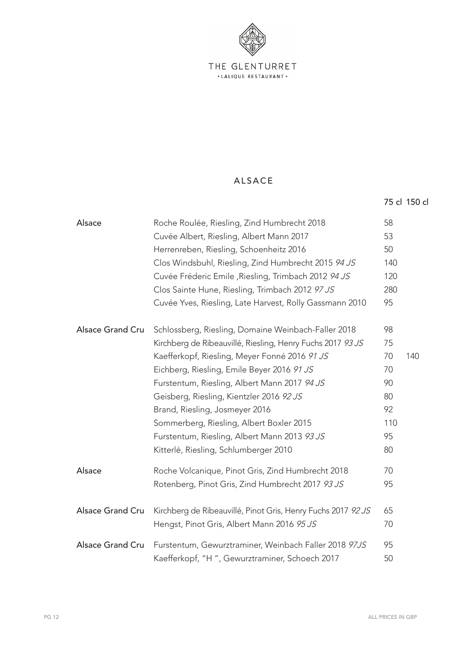

#### ALSACE

| Alsace                  | Roche Roulée, Riesling, Zind Humbrecht 2018                  | 58  |     |
|-------------------------|--------------------------------------------------------------|-----|-----|
|                         | Cuvée Albert, Riesling, Albert Mann 2017                     | 53  |     |
|                         | Herrenreben, Riesling, Schoenheitz 2016                      | 50  |     |
|                         | Clos Windsbuhl, Riesling, Zind Humbrecht 2015 94 JS          | 140 |     |
|                         | Cuvée Fréderic Emile , Riesling, Trimbach 2012 94 JS         | 120 |     |
|                         | Clos Sainte Hune, Riesling, Trimbach 2012 97 JS              | 280 |     |
|                         | Cuvée Yves, Riesling, Late Harvest, Rolly Gassmann 2010      | 95  |     |
| <b>Alsace Grand Cru</b> | Schlossberg, Riesling, Domaine Weinbach-Faller 2018          | 98  |     |
|                         | Kirchberg de Ribeauvillé, Riesling, Henry Fuchs 2017 93 JS   | 75  |     |
|                         | Kaefferkopf, Riesling, Meyer Fonné 2016 91 JS                | 70  | 140 |
|                         | Eichberg, Riesling, Emile Beyer 2016 91 JS                   | 70  |     |
|                         | Furstentum, Riesling, Albert Mann 2017 94 JS                 | 90  |     |
|                         | Geisberg, Riesling, Kientzler 2016 92 JS                     | 80  |     |
|                         | Brand, Riesling, Josmeyer 2016                               | 92  |     |
|                         | Sommerberg, Riesling, Albert Boxler 2015                     | 110 |     |
|                         | Furstentum, Riesling, Albert Mann 2013 93 JS                 | 95  |     |
|                         | Kitterlé, Riesling, Schlumberger 2010                        | 80  |     |
| Alsace                  | Roche Volcanique, Pinot Gris, Zind Humbrecht 2018            | 70  |     |
|                         | Rotenberg, Pinot Gris, Zind Humbrecht 2017 93 JS             | 95  |     |
| Alsace Grand Cru        | Kirchberg de Ribeauvillé, Pinot Gris, Henry Fuchs 2017 92 JS | 65  |     |
|                         | Hengst, Pinot Gris, Albert Mann 2016 95 JS                   | 70  |     |
| <b>Alsace Grand Cru</b> | Furstentum, Gewurztraminer, Weinbach Faller 2018 97JS        | 95  |     |
|                         | Kaefferkopf, "H", Gewurztraminer, Schoech 2017               | 50  |     |

75 cl 150 cl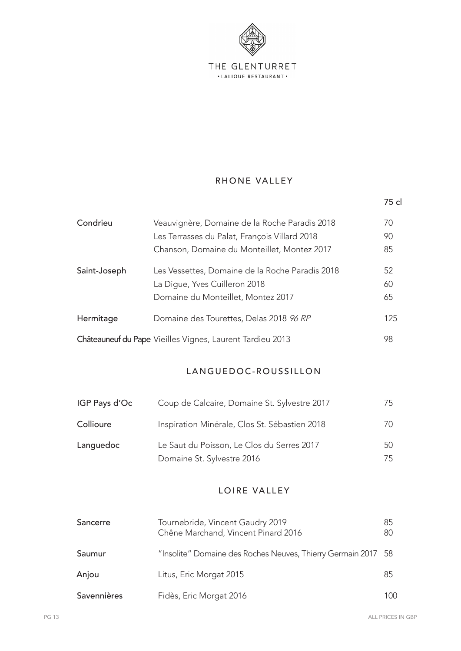

#### RHONE VALLEY

#### LANGUEDOC-ROUSSILLON

| IGP Pays d'Oc | Coup de Calcaire, Domaine St. Sylvestre 2017  | 75. |
|---------------|-----------------------------------------------|-----|
| Collioure     | Inspiration Minérale, Clos St. Sébastien 2018 | 70. |
| Languedoc     | Le Saut du Poisson, Le Clos du Serres 2017    | 50  |
|               | Domaine St. Sylvestre 2016                    | 75. |

#### LOIRE VALLEY

| Sancerre    | Tournebride, Vincent Gaudry 2019<br>Chêne Marchand, Vincent Pinard 2016 | 85<br>80 |
|-------------|-------------------------------------------------------------------------|----------|
| Saumur      | "Insolite" Domaine des Roches Neuves, Thierry Germain 2017 58           |          |
| Anjou       | Litus, Eric Morgat 2015                                                 | 85       |
| Savennières | Fidès, Eric Morgat 2016                                                 | 100      |

75 cl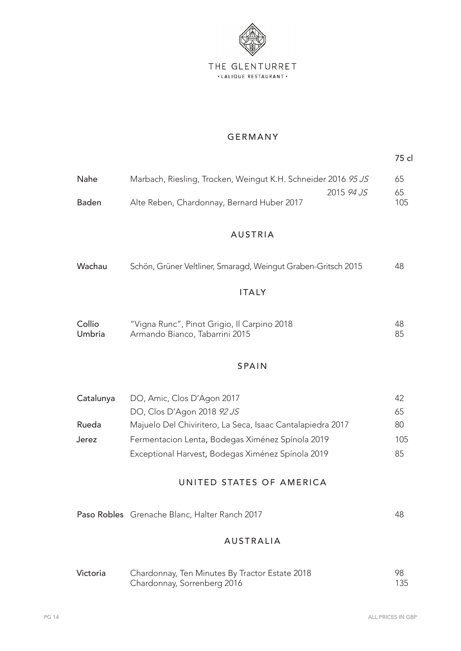

#### GERMANY

75 cl

| Nahe  | Marbach, Riesling, Trocken, Weingut K.H. Schneider 2016 95 JS |                   | 65  |
|-------|---------------------------------------------------------------|-------------------|-----|
|       |                                                               | 2015 <i>94 JS</i> | 65  |
| Baden | Alte Reben, Chardonnay, Bernard Huber 2017                    |                   | 105 |

#### AUSTRIA

| Wachau | Schön, Grüner Veltliner, Smaragd, Weingut Graben-Gritsch 2015 | 48 |
|--------|---------------------------------------------------------------|----|
|        |                                                               |    |
|        | <b>ITALY</b>                                                  |    |

Umbria Armando Bianco, Tabarrini 2015 85

# Collio "Vigna Runc", Pinot Grigio, Il Carpino 2018 48

## SPAIN

| Catalunya | DO, Amic, Clos D'Agon 2017                                 | 42  |
|-----------|------------------------------------------------------------|-----|
|           | DO, Clos D'Agon 2018 92 JS                                 | 65  |
| Rueda     | Majuelo Del Chiviritero, La Seca, Isaac Cantalapiedra 2017 | 80  |
| Jerez     | Fermentacion Lenta, Bodegas Ximénez Spínola 2019           | 105 |
|           | Exceptional Harvest, Bodegas Ximénez Spínola 2019          | 85  |

#### UNITED STATES OF AMERICA

| Paso Robles Grenache Blanc, Halter Ranch 2017 |  |
|-----------------------------------------------|--|
|-----------------------------------------------|--|

#### AUSTRALIA

| Victoria | Chardonnay, Ten Minutes By Tractor Estate 2018 |     |
|----------|------------------------------------------------|-----|
|          | Chardonnay, Sorrenberg 2016                    | 135 |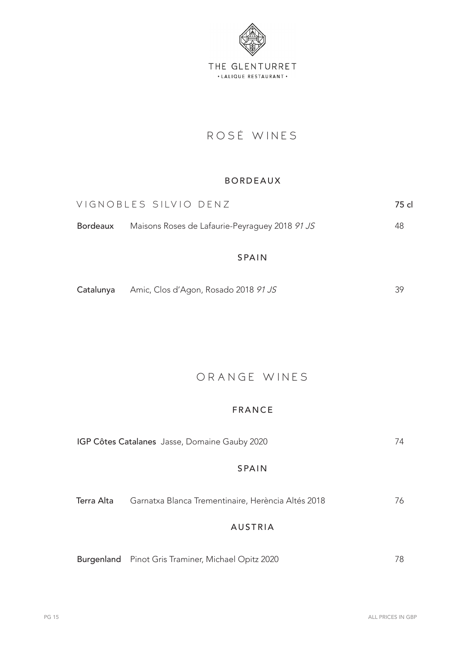

# ROSÉ WINES

#### BORDEAUX

| VIGNOBLES SILVIO DENZ                                   | 75 cl |
|---------------------------------------------------------|-------|
| Bordeaux Maisons Roses de Lafaurie-Peyraguey 2018 91 JS | 48    |
|                                                         |       |

#### SPAIN

| Catalunya<br>Amic, Clos d'Agon, Rosado 2018 <i>91 JS</i> |  |
|----------------------------------------------------------|--|
|----------------------------------------------------------|--|

# ORANGE WINES

#### FRANCE

|            | IGP Côtes Catalanes Jasse, Domaine Gauby 2020      | 74 |
|------------|----------------------------------------------------|----|
|            | <b>SPAIN</b>                                       |    |
| Terra Alta | Garnatxa Blanca Trementinaire, Herència Altés 2018 | 76 |
|            | <b>AUSTRIA</b>                                     |    |
|            | Burgenland Pinot Gris Traminer, Michael Opitz 2020 | 78 |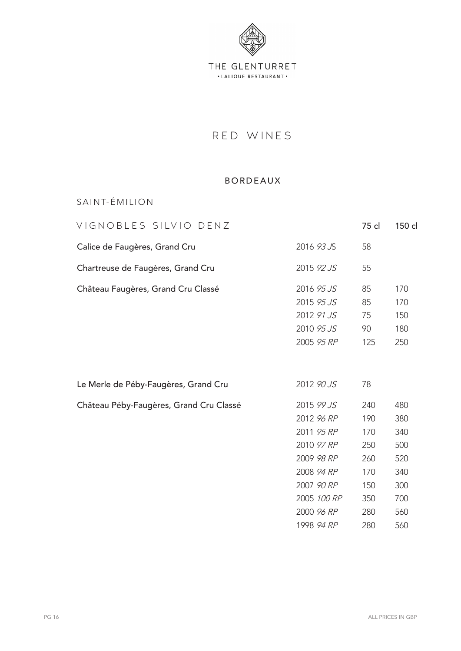

# RED WINES

#### BORDEAUX

SAINT-ÉMILION

| VIGNOBLES SILVIO DENZ                   |                                                                                                                                           | 75 cl                                                              | 150 cl                                                             |
|-----------------------------------------|-------------------------------------------------------------------------------------------------------------------------------------------|--------------------------------------------------------------------|--------------------------------------------------------------------|
| Calice de Faugères, Grand Cru           | 2016 93 JS                                                                                                                                | 58                                                                 |                                                                    |
| Chartreuse de Faugères, Grand Cru       | 2015 92 JS                                                                                                                                | 55                                                                 |                                                                    |
| Château Faugères, Grand Cru Classé      | 2016 95 JS<br>2015 95 JS<br>2012 91 JS<br>2010 95 JS<br>2005 95 RP                                                                        | 85<br>85<br>75<br>90<br>125                                        | 170<br>170<br>150<br>180<br>250                                    |
| Le Merle de Péby-Faugères, Grand Cru    | 2012 90 JS                                                                                                                                | 78                                                                 |                                                                    |
| Château Péby-Faugères, Grand Cru Classé | 2015 99 JS<br>2012 96 RP<br>2011 95 RP<br>2010 97 RP<br>2009 98 RP<br>2008 94 RP<br>2007 90 RP<br>2005 100 RP<br>2000 96 RP<br>1998 94 RP | 240<br>190<br>170<br>250<br>260<br>170<br>150<br>350<br>280<br>280 | 480<br>380<br>340<br>500<br>520<br>340<br>300<br>700<br>560<br>560 |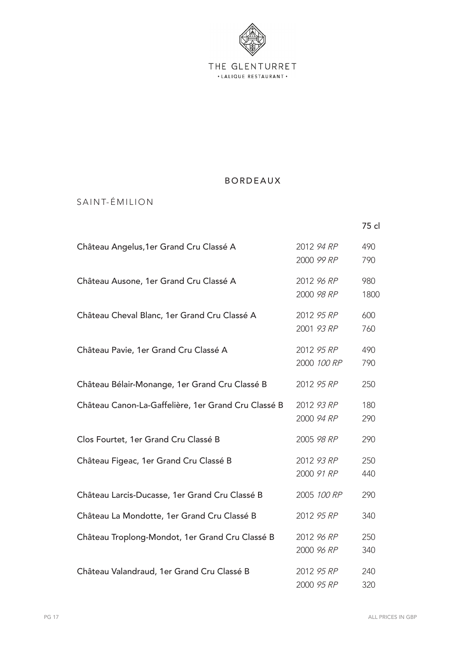

## SAINT-ÉMILION

|                                                     |                           | 75 cl       |
|-----------------------------------------------------|---------------------------|-------------|
| Château Angelus, 1 er Grand Cru Classé A            | 2012 94 RP<br>2000 99 RP  | 490<br>790  |
| Château Ausone, 1er Grand Cru Classé A              | 2012 96 RP<br>2000 98 RP  | 980<br>1800 |
| Château Cheval Blanc, 1er Grand Cru Classé A        | 2012 95 RP<br>2001 93 RP  | 600<br>760  |
| Château Pavie, 1er Grand Cru Classé A               | 2012 95 RP<br>2000 100 RP | 490<br>790  |
| Château Bélair-Monange, 1er Grand Cru Classé B      | 2012 95 RP                | 250         |
| Château Canon-La-Gaffelière, 1er Grand Cru Classé B | 2012 93 RP<br>2000 94 RP  | 180<br>290  |
| Clos Fourtet, 1er Grand Cru Classé B                | 2005 98 RP                | 290         |
| Château Figeac, 1er Grand Cru Classé B              | 2012 93 RP<br>2000 91 RP  | 250<br>440  |
| Château Larcis-Ducasse, 1er Grand Cru Classé B      | 2005 100 RP               | 290         |
| Château La Mondotte, 1er Grand Cru Classé B         | 2012 95 RP                | 340         |
| Château Troplong-Mondot, 1er Grand Cru Classé B     | 2012 96 RP<br>2000 96 RP  | 250<br>340  |
| Château Valandraud, 1er Grand Cru Classé B          | 2012 95 RP<br>2000 95 RP  | 240<br>320  |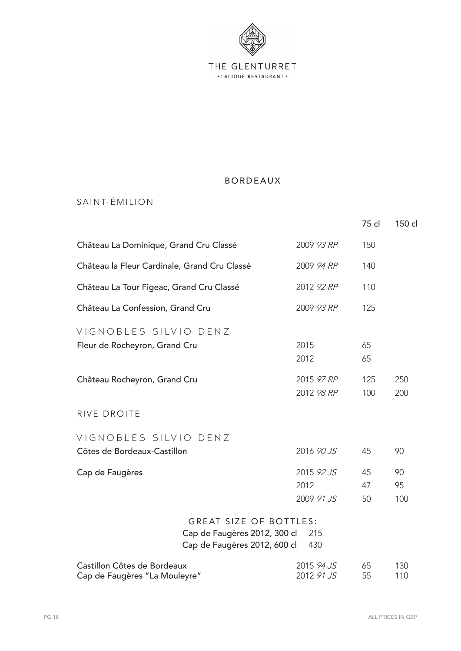

## SAINT-ÉMILION

|                                                                                               |                                  | 75 cl          | 150 cl          |
|-----------------------------------------------------------------------------------------------|----------------------------------|----------------|-----------------|
| Château La Dominique, Grand Cru Classé                                                        | 2009 93 RP                       | 150            |                 |
| Château la Fleur Cardinale, Grand Cru Classé                                                  | 2009 94 RP                       | 140            |                 |
| Château La Tour Figeac, Grand Cru Classé                                                      | 2012 92 RP                       | 110            |                 |
| Château La Confession, Grand Cru                                                              | 2009 93 RP                       | 125            |                 |
| VIGNOBLES SILVIO DENZ<br>Fleur de Rocheyron, Grand Cru                                        | 2015<br>2012                     | 65<br>65       |                 |
| Château Rocheyron, Grand Cru                                                                  | 2015 97 RP<br>2012 98 RP         | 125<br>100     | 250<br>200      |
| RIVE DROITE                                                                                   |                                  |                |                 |
| VIGNOBLES SILVIO DENZ<br>Côtes de Bordeaux-Castillon                                          | 2016 90 JS                       | 45             | 90              |
| Cap de Faugères                                                                               | 2015 92 JS<br>2012<br>2009 91 JS | 45<br>47<br>50 | 90<br>95<br>100 |
| <b>GREAT SIZE OF BOTTLES:</b><br>Cap de Faugères 2012, 300 cl<br>Cap de Faugères 2012, 600 cl | 215<br>430                       |                |                 |
| Castillon Côtes de Bordeaux<br>Cap de Faugères "La Mouleyre"                                  | 2015 94 JS<br>2012 91 JS         | 65<br>55       | 130<br>110      |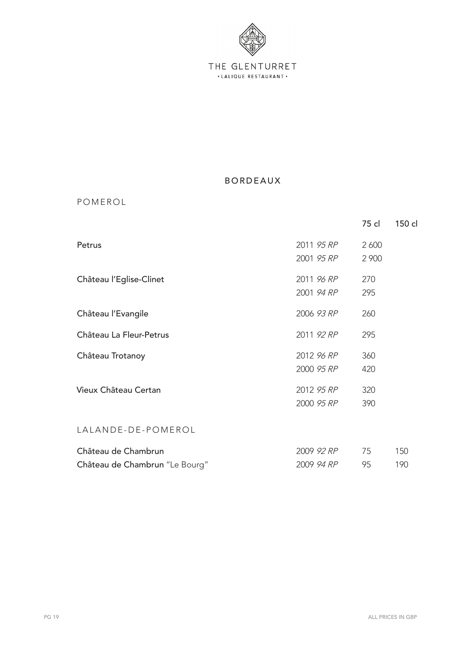

**POMEROL** 

|                                                       |                          | 75 cl          | 150 cl     |
|-------------------------------------------------------|--------------------------|----------------|------------|
| Petrus                                                | 2011 95 RP<br>2001 95 RP | 2 600<br>2 900 |            |
| Château l'Eglise-Clinet                               | 2011 96 RP<br>2001 94 RP | 270<br>295     |            |
| Château l'Evangile                                    | 2006 93 RP               | 260            |            |
| Château La Fleur-Petrus                               | 2011 92 RP               | 295            |            |
| Château Trotanoy                                      | 2012 96 RP<br>2000 95 RP | 360<br>420     |            |
| Vieux Château Certan                                  | 2012 95 RP<br>2000 95 RP | 320<br>390     |            |
| LALANDE-DE-POMEROL                                    |                          |                |            |
| Château de Chambrun<br>Château de Chambrun "Le Bourg" | 2009 92 RP<br>2009 94 RP | 75<br>95       | 150<br>190 |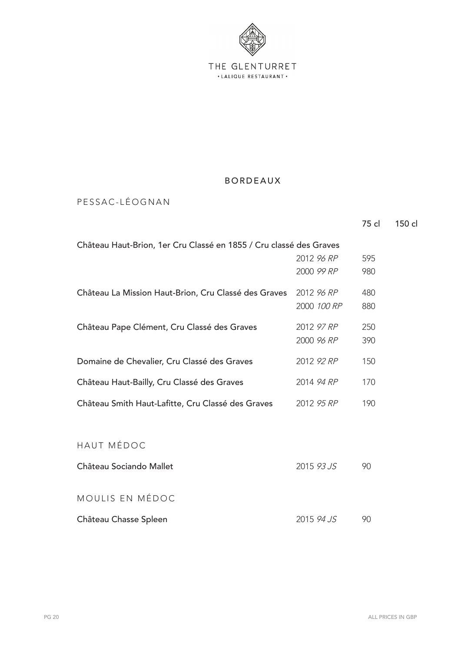

PESSAC-LÉOGNAN

|                                                                    |             | 75 cl | 150 cl |
|--------------------------------------------------------------------|-------------|-------|--------|
| Château Haut-Brion, 1er Cru Classé en 1855 / Cru classé des Graves |             |       |        |
|                                                                    | 2012 96 RP  | 595   |        |
|                                                                    | 2000 99 RP  | 980   |        |
| Château La Mission Haut-Brion, Cru Classé des Graves               | 2012 96 RP  | 480   |        |
|                                                                    | 2000 100 RP | 880   |        |
| Château Pape Clément, Cru Classé des Graves                        | 2012 97 RP  | 250   |        |
|                                                                    | 2000 96 RP  | 390   |        |
| Domaine de Chevalier, Cru Classé des Graves                        | 2012 92 RP  | 150   |        |
| Château Haut-Bailly, Cru Classé des Graves                         | 2014 94 RP  | 170   |        |
| Château Smith Haut-Lafitte, Cru Classé des Graves                  | 2012 95 RP  | 190   |        |
|                                                                    |             |       |        |
| HAUT MÉDOC                                                         |             |       |        |
| Château Sociando Mallet                                            | 2015 93 JS  | 90    |        |
|                                                                    |             |       |        |
| MOULIS EN MÉDOC                                                    |             |       |        |
| Château Chasse Spleen                                              | 2015 94 JS  | 90    |        |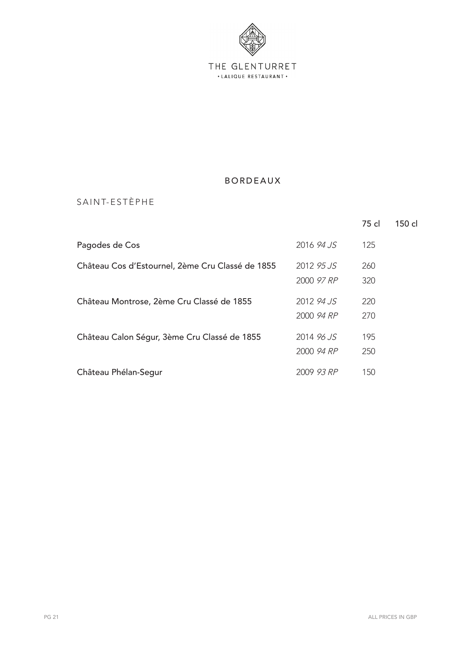

## SAINT-ESTÈPHE

|                                                  |            | 75 cl | 150 cl |
|--------------------------------------------------|------------|-------|--------|
| Pagodes de Cos                                   | 2016 94 JS | 125   |        |
| Château Cos d'Estournel, 2ème Cru Classé de 1855 | 2012 95 JS | 260   |        |
|                                                  | 2000 97 RP | 320   |        |
| Château Montrose, 2ème Cru Classé de 1855        | 2012 94 JS | 220   |        |
|                                                  | 2000 94 RP | 270   |        |
| Château Calon Ségur, 3ème Cru Classé de 1855     | 2014 96 JS | 195   |        |
|                                                  | 2000 94 RP | 250   |        |
| Château Phélan-Segur                             | 2009 93 RP | 150   |        |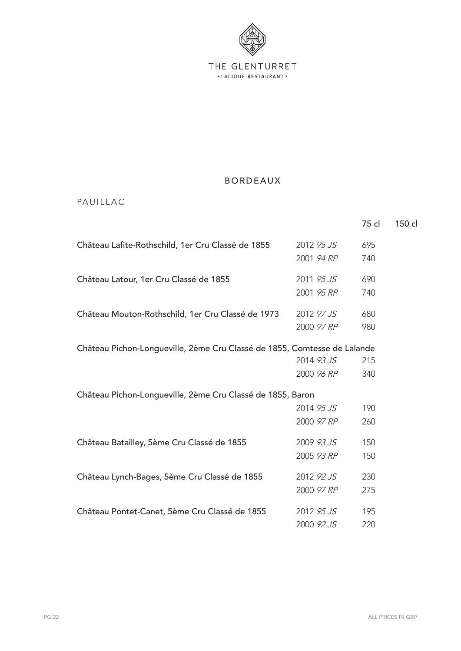

### PAUILLAC

|                                                                          |            | 75 cl | 150 cl |
|--------------------------------------------------------------------------|------------|-------|--------|
| Château Lafite-Rothschild, 1er Cru Classé de 1855                        | 2012 95 JS | 695   |        |
|                                                                          | 2001 94 RP | 740   |        |
| Château Latour, 1er Cru Classé de 1855                                   | 2011 95 JS | 690   |        |
|                                                                          | 2001 95 RP | 740   |        |
| Château Mouton-Rothschild, 1er Cru Classé de 1973                        | 2012 97 JS | 680   |        |
|                                                                          | 2000 97 RP | 980   |        |
| Château Pichon-Longueville, 2ème Cru Classé de 1855, Comtesse de Lalande |            |       |        |
|                                                                          | 2014 93 JS | 215   |        |
|                                                                          | 2000 96 RP | 340   |        |
| Château Pichon-Longueville, 2ème Cru Classé de 1855, Baron               |            |       |        |
|                                                                          | 2014 95 JS | 190   |        |
|                                                                          | 2000 97 RP | 260   |        |
| Château Batailley, 5ème Cru Classé de 1855                               | 2009 93 JS | 150   |        |
|                                                                          | 2005 93 RP | 150   |        |
| Château Lynch-Bages, 5ème Cru Classé de 1855                             | 2012 92 JS | 230   |        |
|                                                                          | 2000 97 RP | 275   |        |
| Château Pontet-Canet, 5ème Cru Classé de 1855                            | 2012 95 JS | 195   |        |
|                                                                          | 2000 92 JS | 220   |        |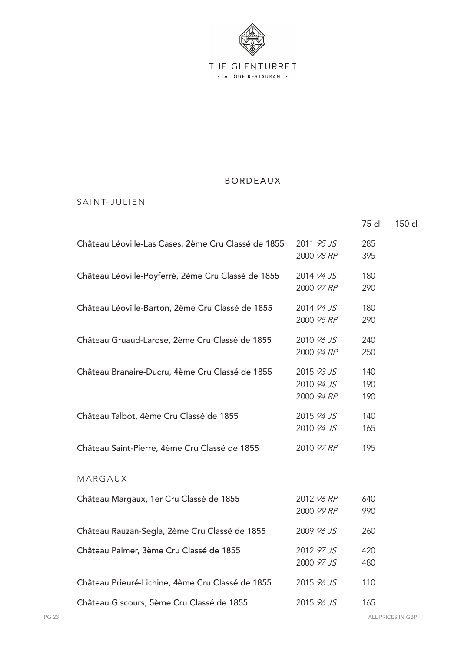

#### SAINT-JULIEN

|                                                     |                                        | 75 cl             | 150 cl |
|-----------------------------------------------------|----------------------------------------|-------------------|--------|
| Château Léoville-Las Cases, 2ème Cru Classé de 1855 | 2011 95 JS<br>2000 98 RP               | 285<br>395        |        |
| Château Léoville-Poyferré, 2ème Cru Classé de 1855  | 2014 94 JS<br>2000 97 RP               | 180<br>290        |        |
| Château Léoville-Barton, 2ème Cru Classé de 1855    | 2014 94 JS<br>2000 95 RP               | 180<br>290        |        |
| Château Gruaud-Larose, 2ème Cru Classé de 1855      | 2010 96 JS<br>2000 94 RP               | 240<br>250        |        |
| Château Branaire-Ducru, 4ème Cru Classé de 1855     | 2015 93 JS<br>2010 94 JS<br>2000 94 RP | 140<br>190<br>190 |        |
| Château Talbot, 4ème Cru Classé de 1855             | 2015 94 JS<br>2010 94 JS               | 140<br>165        |        |
| Château Saint-Pierre, 4ème Cru Classé de 1855       | 2010 97 RP                             | 195               |        |
| MARGAUX                                             |                                        |                   |        |
| Château Margaux, 1er Cru Classé de 1855             | 2012 96 RP<br>2000 99 RP               | 640<br>990        |        |
| Château Rauzan-Segla, 2ème Cru Classé de 1855       | 2009 96 JS                             | 260               |        |
| Château Palmer, 3ème Cru Classé de 1855             | 2012 97 JS<br>2000 97 JS               | 420<br>480        |        |
| Château Prieuré-Lichine, 4ème Cru Classé de 1855    | 2015 96 JS                             | 110               |        |
| Château Giscours, 5ème Cru Classé de 1855           | 2015 96 JS                             | 165               |        |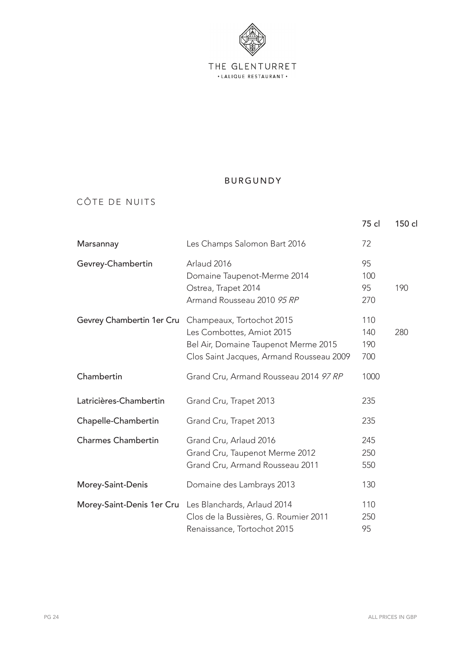

### CÔTE DE NUITS

|                           |                                                                                                                                            | 75 cl                    | 150 cl |
|---------------------------|--------------------------------------------------------------------------------------------------------------------------------------------|--------------------------|--------|
| Marsannay                 | Les Champs Salomon Bart 2016                                                                                                               | 72                       |        |
| Gevrey-Chambertin         | Arlaud 2016<br>Domaine Taupenot-Merme 2014<br>Ostrea, Trapet 2014<br>Armand Rousseau 2010 95 RP                                            | 95<br>100<br>95<br>270   | 190    |
| Gevrey Chambertin 1er Cru | Champeaux, Tortochot 2015<br>Les Combottes, Amiot 2015<br>Bel Air, Domaine Taupenot Merme 2015<br>Clos Saint Jacques, Armand Rousseau 2009 | 110<br>140<br>190<br>700 | 280    |
| Chambertin                | Grand Cru, Armand Rousseau 2014 97 RP                                                                                                      | 1000                     |        |
| Latricières-Chambertin    | Grand Cru, Trapet 2013                                                                                                                     | 235                      |        |
| Chapelle-Chambertin       | Grand Cru, Trapet 2013                                                                                                                     | 235                      |        |
| <b>Charmes Chambertin</b> | Grand Cru, Arlaud 2016<br>Grand Cru, Taupenot Merme 2012<br>Grand Cru, Armand Rousseau 2011                                                | 245<br>250<br>550        |        |
| Morey-Saint-Denis         | Domaine des Lambrays 2013                                                                                                                  | 130                      |        |
| Morey-Saint-Denis 1er Cru | Les Blanchards, Arlaud 2014<br>Clos de la Bussières, G. Roumier 2011<br>Renaissance, Tortochot 2015                                        | 110<br>250<br>95         |        |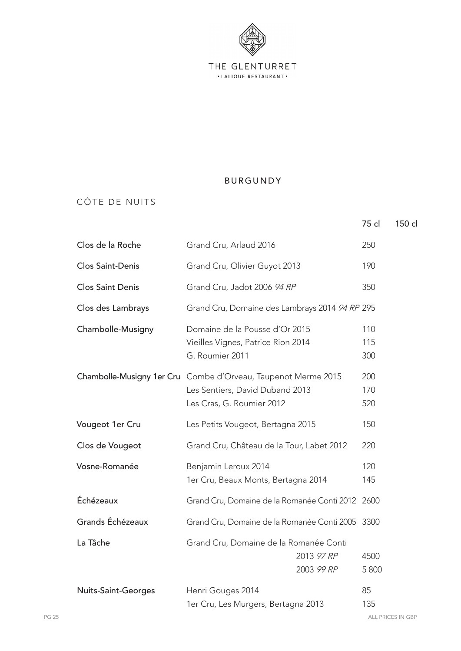

#### CÔTE DE NUITS

|                            |                                                                                                                               | 75 cl             | 150 cl |
|----------------------------|-------------------------------------------------------------------------------------------------------------------------------|-------------------|--------|
| Clos de la Roche           | Grand Cru, Arlaud 2016                                                                                                        | 250               |        |
| <b>Clos Saint-Denis</b>    | Grand Cru, Olivier Guyot 2013                                                                                                 | 190               |        |
| <b>Clos Saint Denis</b>    | Grand Cru, Jadot 2006 94 RP                                                                                                   | 350               |        |
| Clos des Lambrays          | Grand Cru, Domaine des Lambrays 2014 94 RP 295                                                                                |                   |        |
| Chambolle-Musigny          | Domaine de la Pousse d'Or 2015<br>Vieilles Vignes, Patrice Rion 2014<br>G. Roumier 2011                                       | 110<br>115<br>300 |        |
|                            | Chambolle-Musigny 1er Cru Combe d'Orveau, Taupenot Merme 2015<br>Les Sentiers, David Duband 2013<br>Les Cras, G. Roumier 2012 | 200<br>170<br>520 |        |
| Vougeot 1er Cru            | Les Petits Vougeot, Bertagna 2015                                                                                             | 150               |        |
| Clos de Vougeot            | Grand Cru, Château de la Tour, Labet 2012                                                                                     | 220               |        |
| Vosne-Romanée              | Benjamin Leroux 2014<br>1er Cru, Beaux Monts, Bertagna 2014                                                                   | 120<br>145        |        |
| Échézeaux                  | Grand Cru, Domaine de la Romanée Conti 2012 2600                                                                              |                   |        |
| Grands Échézeaux           | Grand Cru, Domaine de la Romanée Conti 2005                                                                                   | 3300              |        |
| La Tâche                   | Grand Cru, Domaine de la Romanée Conti<br>2013 97 RP<br>2003 99 RP                                                            | 4500<br>5800      |        |
| <b>Nuits-Saint-Georges</b> | Henri Gouges 2014<br>1er Cru, Les Murgers, Bertagna 2013                                                                      | 85<br>135         |        |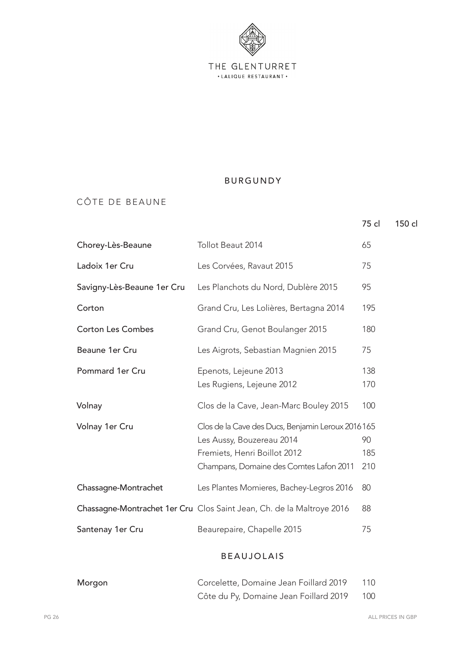

#### CÔTE DE BEAUNE

|                            |                                                                       | 75 cl      | 150 cl |
|----------------------------|-----------------------------------------------------------------------|------------|--------|
| Chorey-Lès-Beaune          | Tollot Beaut 2014                                                     | 65         |        |
| Ladoix 1er Cru             | Les Corvées, Ravaut 2015                                              | 75         |        |
| Savigny-Lès-Beaune 1er Cru | Les Planchots du Nord, Dublère 2015                                   | 95         |        |
| Corton                     | Grand Cru, Les Lolières, Bertagna 2014                                | 195        |        |
| <b>Corton Les Combes</b>   | Grand Cru, Genot Boulanger 2015                                       | 180        |        |
| Beaune 1er Cru             | Les Aigrots, Sebastian Magnien 2015                                   | 75         |        |
| Pommard 1er Cru            | Epenots, Lejeune 2013<br>Les Rugiens, Lejeune 2012                    | 138<br>170 |        |
| Volnay                     | Clos de la Cave, Jean-Marc Bouley 2015                                | 100        |        |
| Volnay 1er Cru             | Clos de la Cave des Ducs, Benjamin Leroux 2016165                     |            |        |
|                            | Les Aussy, Bouzereau 2014                                             | 90         |        |
|                            | Fremiets, Henri Boillot 2012                                          | 185        |        |
|                            | Champans, Domaine des Comtes Lafon 2011                               | 210        |        |
| Chassagne-Montrachet       | Les Plantes Momieres, Bachey-Legros 2016                              | 80         |        |
|                            | Chassagne-Montrachet 1er Cru Clos Saint Jean, Ch. de la Maltroye 2016 | 88         |        |
| Santenay 1er Cru           | Beaurepaire, Chapelle 2015                                            | 75         |        |
|                            |                                                                       |            |        |

## BEAUJOLAIS

| Morgon | Corcelette, Domaine Jean Foillard 2019 | 110 |
|--------|----------------------------------------|-----|
|        | Côte du Py, Domaine Jean Foillard 2019 | 100 |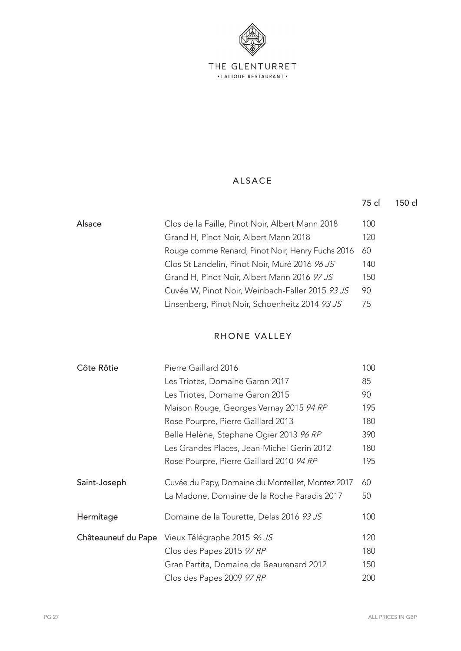

#### ALSACE

|        |                                                  | 75 cl | 150 cl |
|--------|--------------------------------------------------|-------|--------|
| Alsace | Clos de la Faille, Pinot Noir, Albert Mann 2018  | 100   |        |
|        | Grand H, Pinot Noir, Albert Mann 2018            | 120   |        |
|        | Rouge comme Renard, Pinot Noir, Henry Fuchs 2016 | 60    |        |
|        | Clos St Landelin, Pinot Noir, Muré 2016 96 JS    | 140   |        |
|        | Grand H, Pinot Noir, Albert Mann 2016 97 JS      | 150   |        |
|        | Cuvée W, Pinot Noir, Weinbach-Faller 2015 93 JS  | 90    |        |
|        | Linsenberg, Pinot Noir, Schoenheitz 2014 93 JS   | 75    |        |

#### RHONE VALLEY

| Côte Rôtie          | Pierre Gaillard 2016                              | 100 |
|---------------------|---------------------------------------------------|-----|
|                     | Les Triotes, Domaine Garon 2017                   | 85  |
|                     | Les Triotes, Domaine Garon 2015                   | 90  |
|                     | Maison Rouge, Georges Vernay 2015 94 RP           | 195 |
|                     | Rose Pourpre, Pierre Gaillard 2013                | 180 |
|                     | Belle Helène, Stephane Ogier 2013 96 RP           | 390 |
|                     | Les Grandes Places, Jean-Michel Gerin 2012        | 180 |
|                     | Rose Pourpre, Pierre Gaillard 2010 94 RP          | 195 |
| Saint-Joseph        | Cuvée du Papy, Domaine du Monteillet, Montez 2017 | 60  |
|                     | La Madone, Domaine de la Roche Paradis 2017       | 50  |
| Hermitage           | Domaine de la Tourette, Delas 2016 93 JS          | 100 |
| Châteauneuf du Pape | Vieux Télégraphe 2015 96 JS                       | 120 |
|                     | Clos des Papes 2015 97 RP                         | 180 |
|                     | Gran Partita, Domaine de Beaurenard 2012          | 150 |
|                     | Clos des Papes 2009 97 RP                         | 200 |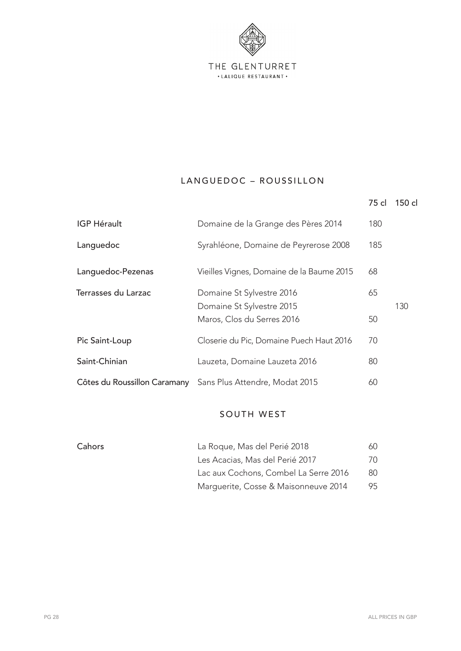

## LANGUEDOC - ROUSSILLON

|  | 75 cl 150 cl |
|--|--------------|
|  |              |

| <b>IGP Hérault</b>  | Domaine de la Grange des Pères 2014                                                  | 180      |     |
|---------------------|--------------------------------------------------------------------------------------|----------|-----|
| Languedoc           | Syrahléone, Domaine de Peyrerose 2008                                                | 185      |     |
| Languedoc-Pezenas   | Vieilles Vignes, Domaine de la Baume 2015                                            | 68       |     |
| Terrasses du Larzac | Domaine St Sylvestre 2016<br>Domaine St Sylvestre 2015<br>Maros, Clos du Serres 2016 | 65<br>50 | 130 |
| Pic Saint-Loup      | Closerie du Pic, Domaine Puech Haut 2016                                             | 70       |     |
| Saint-Chinian       | Lauzeta, Domaine Lauzeta 2016                                                        | 80       |     |
|                     | Côtes du Roussillon Caramany Sans Plus Attendre, Modat 2015                          | 60       |     |

#### SOUTH WEST

| Cahors | La Roque, Mas del Perié 2018          | 60  |
|--------|---------------------------------------|-----|
|        | Les Acacias, Mas del Perié 2017       | 70. |
|        | Lac aux Cochons, Combel La Serre 2016 | 80  |
|        | Marguerite, Cosse & Maisonneuve 2014  | 95  |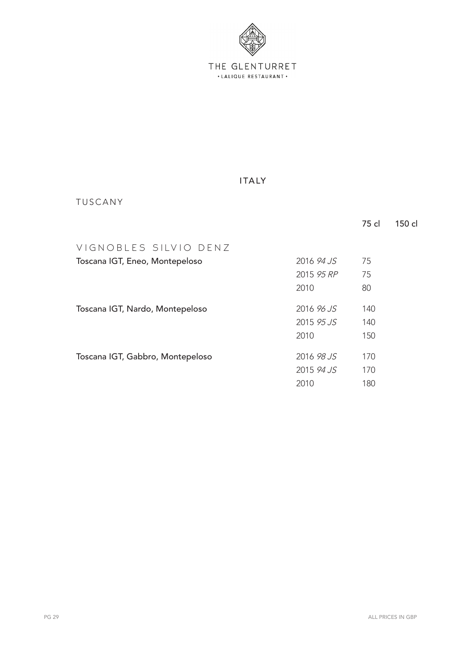

#### ITALY

### TUSCANY

|                                  |            | 75 cl | 150 cl |
|----------------------------------|------------|-------|--------|
| VIGNOBLES SILVIO DENZ            |            |       |        |
| Toscana IGT, Eneo, Montepeloso   | 2016 94 JS | 75    |        |
|                                  | 2015 95 RP | 75    |        |
|                                  | 2010       | 80    |        |
| Toscana IGT, Nardo, Montepeloso  | 2016 96 JS | 140   |        |
|                                  | 2015 95 JS | 140   |        |
|                                  | 2010       | 150   |        |
| Toscana IGT, Gabbro, Montepeloso | 2016 98 JS | 170   |        |
|                                  | 2015 94 JS | 170   |        |
|                                  | 2010       | 180   |        |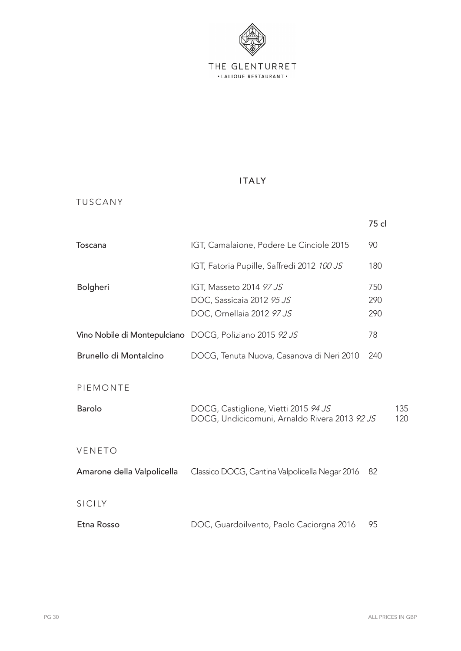

#### ITALY

### TUSCANY

|                            |                                                                                       | 75 cl             |            |
|----------------------------|---------------------------------------------------------------------------------------|-------------------|------------|
| Toscana                    | IGT, Camalaione, Podere Le Cinciole 2015                                              | 90                |            |
|                            | IGT, Fatoria Pupille, Saffredi 2012 100 JS                                            | 180               |            |
| Bolgheri                   | IGT, Masseto 2014 97 JS<br>DOC, Sassicaia 2012 95 JS<br>DOC, Ornellaia 2012 97 JS     | 750<br>290<br>290 |            |
|                            | Vino Nobile di Montepulciano DOCG, Poliziano 2015 92 JS                               | 78                |            |
| Brunello di Montalcino     | DOCG, Tenuta Nuova, Casanova di Neri 2010                                             | 240               |            |
| PIEMONTE                   |                                                                                       |                   |            |
| <b>Barolo</b>              | DOCG, Castiglione, Vietti 2015 94 JS<br>DOCG, Undicicomuni, Arnaldo Rivera 2013 92 JS |                   | 135<br>120 |
| VENETO                     |                                                                                       |                   |            |
| Amarone della Valpolicella | Classico DOCG, Cantina Valpolicella Negar 2016                                        | 82                |            |
| SICILY                     |                                                                                       |                   |            |
| Etna Rosso                 | DOC, Guardoilvento, Paolo Caciorgna 2016                                              | 95                |            |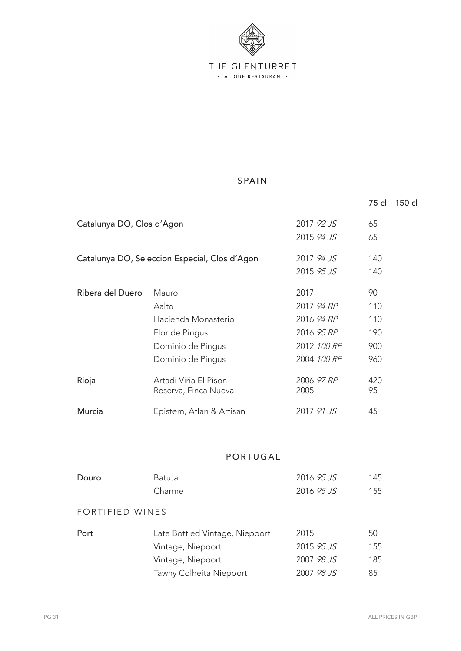

## SPAIN

|                           |                                                                                                     |                                                                              | 75 cl                                 | 150 cl |
|---------------------------|-----------------------------------------------------------------------------------------------------|------------------------------------------------------------------------------|---------------------------------------|--------|
| Catalunya DO, Clos d'Agon |                                                                                                     | 2017 92 JS<br>2015 94 JS                                                     | 65<br>65                              |        |
|                           | Catalunya DO, Seleccion Especial, Clos d'Agon                                                       | 2017 94 JS<br>2015 95 JS                                                     | 140<br>140                            |        |
| Ribera del Duero          | Mauro<br>Aalto<br>Hacienda Monasterio<br>Flor de Pingus<br>Dominio de Pingus<br>Dominio de Pingus   | 2017<br>2017 94 RP<br>2016 94 RP<br>2016 95 RP<br>2012 100 RP<br>2004 100 RP | 90<br>110<br>110<br>190<br>900<br>960 |        |
| Rioja                     | Artadi Viña El Pison<br>Reserva, Finca Nueva                                                        | 2006 97 RP<br>2005                                                           | 420<br>95                             |        |
| Murcia                    | Epistem, Atlan & Artisan                                                                            | 2017 91 JS                                                                   | 45                                    |        |
|                           | PORTUGAL                                                                                            |                                                                              |                                       |        |
| Douro                     | <b>Batuta</b><br>Charme                                                                             | 2016 95 JS<br>2016 95 JS                                                     | 145<br>155                            |        |
| FORTIFIED WINES           |                                                                                                     |                                                                              |                                       |        |
| Port                      | Late Bottled Vintage, Niepoort<br>Vintage, Niepoort<br>Vintage, Niepoort<br>Tawny Colheita Niepoort | 2015<br>2015 95 JS<br>2007 98 JS<br>2007 98 JS                               | 50<br>155<br>185<br>85                |        |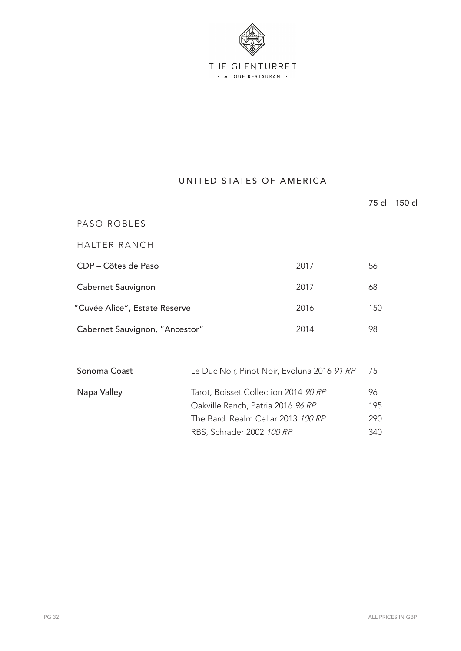

#### UNITED STATES OF AMERICA

|                                        |                                             |      | 75 cl | 150 cl |
|----------------------------------------|---------------------------------------------|------|-------|--------|
| PASO ROBLES                            |                                             |      |       |        |
| HALTER RANCH                           |                                             |      |       |        |
| CDP – Côtes de Paso                    |                                             | 2017 | 56    |        |
| Cabernet Sauvignon                     |                                             | 2017 | 68    |        |
| "Cuvée Alice", Estate Reserve          |                                             | 2016 | 150   |        |
| 2014<br>Cabernet Sauvignon, "Ancestor" |                                             | 98   |       |        |
|                                        |                                             |      |       |        |
| Sonoma Coast                           | Le Duc Noir, Pinot Noir, Evoluna 2016 91 RP |      | 75    |        |

Napa Valley Tarot, Boisset Collection 2014 90 RP 96

Oakville Ranch, Patria 2016 96 RP 195 The Bard, Realm Cellar 2013 100 RP 290 RBS, Schrader 2002 100 RP 340